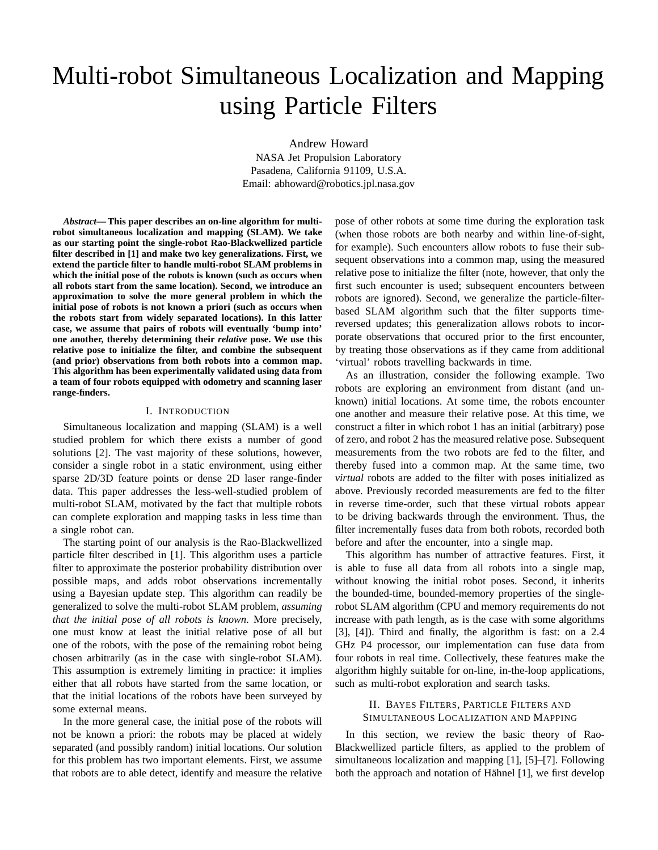# Multi-robot Simultaneous Localization and Mapping using Particle Filters

Andrew Howard NASA Jet Propulsion Laboratory Pasadena, California 91109, U.S.A. Email: abhoward@robotics.jpl.nasa.gov

*Abstract***—This paper describes an on-line algorithm for multirobot simultaneous localization and mapping (SLAM). We take as our starting point the single-robot Rao-Blackwellized particle filter described in [1] and make two key generalizations. First, we extend the particle filter to handle multi-robot SLAM problems in which the initial pose of the robots is known (such as occurs when all robots start from the same location). Second, we introduce an approximation to solve the more general problem in which the initial pose of robots is not known a priori (such as occurs when the robots start from widely separated locations). In this latter case, we assume that pairs of robots will eventually 'bump into' one another, thereby determining their** *relative* **pose. We use this relative pose to initialize the filter, and combine the subsequent (and prior) observations from both robots into a common map. This algorithm has been experimentally validated using data from a team of four robots equipped with odometry and scanning laser range-finders.**

# I. INTRODUCTION

Simultaneous localization and mapping (SLAM) is a well studied problem for which there exists a number of good solutions [2]. The vast majority of these solutions, however, consider a single robot in a static environment, using either sparse 2D/3D feature points or dense 2D laser range-finder data. This paper addresses the less-well-studied problem of multi-robot SLAM, motivated by the fact that multiple robots can complete exploration and mapping tasks in less time than a single robot can.

The starting point of our analysis is the Rao-Blackwellized particle filter described in [1]. This algorithm uses a particle filter to approximate the posterior probability distribution over possible maps, and adds robot observations incrementally using a Bayesian update step. This algorithm can readily be generalized to solve the multi-robot SLAM problem, *assuming that the initial pose of all robots is known*. More precisely, one must know at least the initial relative pose of all but one of the robots, with the pose of the remaining robot being chosen arbitrarily (as in the case with single-robot SLAM). This assumption is extremely limiting in practice: it implies either that all robots have started from the same location, or that the initial locations of the robots have been surveyed by some external means.

In the more general case, the initial pose of the robots will not be known a priori: the robots may be placed at widely separated (and possibly random) initial locations. Our solution for this problem has two important elements. First, we assume that robots are to able detect, identify and measure the relative pose of other robots at some time during the exploration task (when those robots are both nearby and within line-of-sight, for example). Such encounters allow robots to fuse their subsequent observations into a common map, using the measured relative pose to initialize the filter (note, however, that only the first such encounter is used; subsequent encounters between robots are ignored). Second, we generalize the particle-filterbased SLAM algorithm such that the filter supports timereversed updates; this generalization allows robots to incorporate observations that occured prior to the first encounter, by treating those observations as if they came from additional 'virtual' robots travelling backwards in time.

As an illustration, consider the following example. Two robots are exploring an environment from distant (and unknown) initial locations. At some time, the robots encounter one another and measure their relative pose. At this time, we construct a filter in which robot 1 has an initial (arbitrary) pose of zero, and robot 2 has the measured relative pose. Subsequent measurements from the two robots are fed to the filter, and thereby fused into a common map. At the same time, two *virtual* robots are added to the filter with poses initialized as above. Previously recorded measurements are fed to the filter in reverse time-order, such that these virtual robots appear to be driving backwards through the environment. Thus, the filter incrementally fuses data from both robots, recorded both before and after the encounter, into a single map.

This algorithm has number of attractive features. First, it is able to fuse all data from all robots into a single map, without knowing the initial robot poses. Second, it inherits the bounded-time, bounded-memory properties of the singlerobot SLAM algorithm (CPU and memory requirements do not increase with path length, as is the case with some algorithms [3], [4]). Third and finally, the algorithm is fast: on a 2.4 GHz P4 processor, our implementation can fuse data from four robots in real time. Collectively, these features make the algorithm highly suitable for on-line, in-the-loop applications, such as multi-robot exploration and search tasks.

## II. BAYES FILTERS, PARTICLE FILTERS AND SIMULTANEOUS LOCALIZATION AND MAPPING

In this section, we review the basic theory of Rao-Blackwellized particle filters, as applied to the problem of simultaneous localization and mapping [1], [5]–[7]. Following both the approach and notation of Hähnel [1], we first develop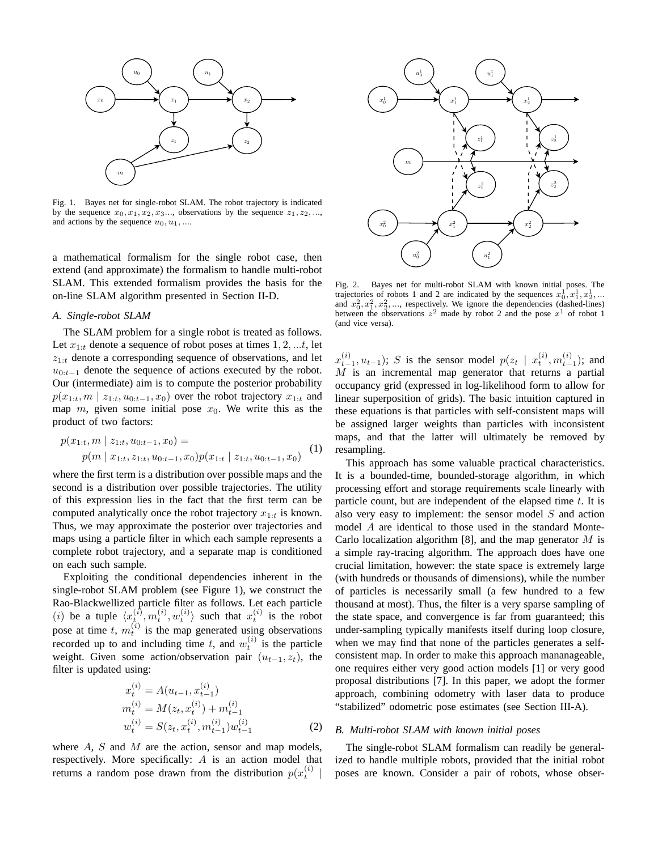

Fig. 1. Bayes net for single-robot SLAM. The robot trajectory is indicated by the sequence  $x_0, x_1, x_2, x_3...$ , observations by the sequence  $z_1, z_2, ...$ and actions by the sequence  $u_0, u_1, \dots$ 

a mathematical formalism for the single robot case, then extend (and approximate) the formalism to handle multi-robot SLAM. This extended formalism provides the basis for the on-line SLAM algorithm presented in Section II-D.

#### *A. Single-robot SLAM*

The SLAM problem for a single robot is treated as follows. Let  $x_{1:t}$  denote a sequence of robot poses at times  $1, 2, \ldots t$ , let  $z_{1:t}$  denote a corresponding sequence of observations, and let  $u_{0:t-1}$  denote the sequence of actions executed by the robot. Our (intermediate) aim is to compute the posterior probability  $p(x_{1:t}, m \mid z_{1:t}, u_{0:t-1}, x_0)$  over the robot trajectory  $x_{1:t}$  and map  $m$ , given some initial pose  $x_0$ . We write this as the product of two factors:

$$
p(x_{1:t}, m \mid z_{1:t}, u_{0:t-1}, x_0) =
$$
  
 
$$
p(m \mid x_{1:t}, z_{1:t}, u_{0:t-1}, x_0) p(x_{1:t} \mid z_{1:t}, u_{0:t-1}, x_0)
$$
 (1)

where the first term is a distribution over possible maps and the second is a distribution over possible trajectories. The utility of this expression lies in the fact that the first term can be computed analytically once the robot trajectory  $x_{1:t}$  is known. Thus, we may approximate the posterior over trajectories and maps using a particle filter in which each sample represents a complete robot trajectory, and a separate map is conditioned on each such sample.

Exploiting the conditional dependencies inherent in the single-robot SLAM problem (see Figure 1), we construct the Rao-Blackwellized particle filter as follows. Let each particle (i) be a tuple  $\langle x_t^{(i)}, m_t^{(i)}, w_t^{(i)} \rangle$  such that  $x_t^{(i)}$  is the robot pose at time t,  $m_t^{(i)}$  is the map generated using observations recorded up to and including time t, and  $w_t^{(i)}$  is the particle weight. Given some action/observation pair  $(u_{t-1}, z_t)$ , the filter is updated using:

$$
x_t^{(i)} = A(u_{t-1}, x_{t-1}^{(i)})
$$
  
\n
$$
m_t^{(i)} = M(z_t, x_t^{(i)}) + m_{t-1}^{(i)}
$$
  
\n
$$
w_t^{(i)} = S(z_t, x_t^{(i)}, m_{t-1}^{(i)}) w_{t-1}^{(i)}
$$
\n
$$
(2)
$$

where  $A$ ,  $S$  and  $M$  are the action, sensor and map models, respectively. More specifically: A is an action model that returns a random pose drawn from the distribution  $p(x_t^{(i)})$ |



Fig. 2. Bayes net for multi-robot SLAM with known initial poses. The trajectories of robots 1 and 2 are indicated by the sequences  $x_0^1, x_1^1, x_2^1, \ldots$ and  $x_0^2, x_1^2, x_2^2, \ldots$ , respectively. We ignore the dependencies (dashed-lines) between the observations  $z^2$  made by robot 2 and the pose  $x^1$  of robot 1 (and vice versa).

 $x_{t-1}^{(i)}, u_{t-1}$ ); S is the sensor model  $p(z_t | x_t^{(i)}, m_{t-1}^{(i)})$ ; and  $M$  is an incremental map generator that returns a partial occupancy grid (expressed in log-likelihood form to allow for linear superposition of grids). The basic intuition captured in these equations is that particles with self-consistent maps will be assigned larger weights than particles with inconsistent maps, and that the latter will ultimately be removed by resampling.

This approach has some valuable practical characteristics. It is a bounded-time, bounded-storage algorithm, in which processing effort and storage requirements scale linearly with particle count, but are independent of the elapsed time  $t$ . It is also very easy to implement: the sensor model  $S$  and action model A are identical to those used in the standard Monte-Carlo localization algorithm [8], and the map generator  $M$  is a simple ray-tracing algorithm. The approach does have one crucial limitation, however: the state space is extremely large (with hundreds or thousands of dimensions), while the number of particles is necessarily small (a few hundred to a few thousand at most). Thus, the filter is a very sparse sampling of the state space, and convergence is far from guaranteed; this under-sampling typically manifests itself during loop closure, when we may find that none of the particles generates a selfconsistent map. In order to make this approach mananageable, one requires either very good action models [1] or very good proposal distributions [7]. In this paper, we adopt the former approach, combining odometry with laser data to produce "stabilized" odometric pose estimates (see Section III-A).

#### *B. Multi-robot SLAM with known initial poses*

The single-robot SLAM formalism can readily be generalized to handle multiple robots, provided that the initial robot poses are known. Consider a pair of robots, whose obser-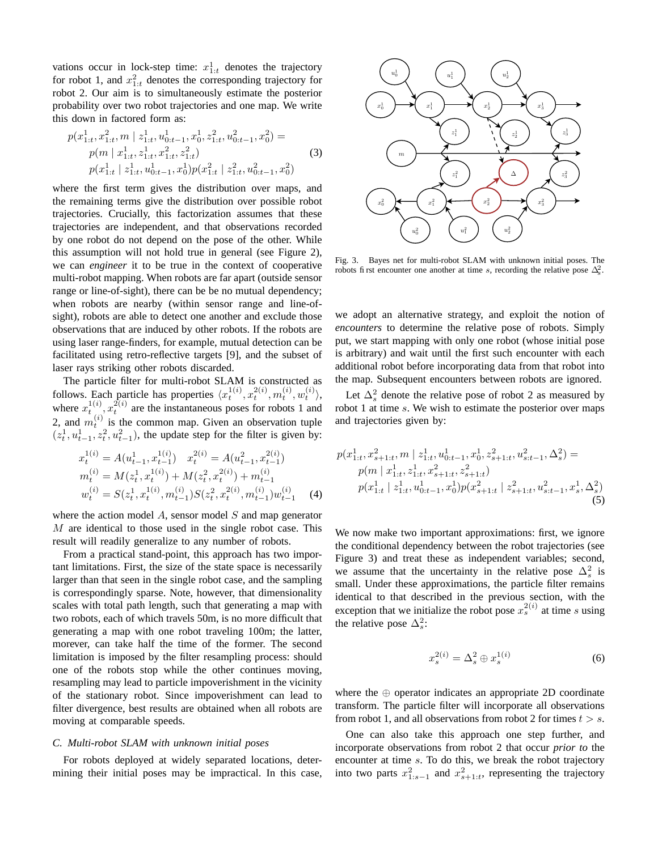vations occur in lock-step time:  $x_{1:t}^1$  denotes the trajectory for robot 1, and  $x_{1:t}^2$  denotes the corresponding trajectory for robot 2. Our aim is to simultaneously estimate the posterior probability over two robot trajectories and one map. We write this down in factored form as:

$$
p(x_{1:t}^1, x_{1:t}^2, m \mid z_{1:t}^1, u_{0:t-1}^1, x_0^1, z_{1:t}^2, u_{0:t-1}^2, x_0^2) =
$$
  
\n
$$
p(m \mid x_{1:t}^1, z_{1:t}^1, x_{1:t}^2, z_{1:t}^2)
$$
  
\n
$$
p(x_{1:t}^1 \mid z_{1:t}^1, u_{0:t-1}^1, x_0^1)p(x_{1:t}^2 \mid z_{1:t}^2, u_{0:t-1}^2, x_0^2)
$$
\n(3)

where the first term gives the distribution over maps, and the remaining terms give the distribution over possible robot trajectories. Crucially, this factorization assumes that these trajectories are independent, and that observations recorded by one robot do not depend on the pose of the other. While this assumption will not hold true in general (see Figure 2), we can *engineer* it to be true in the context of cooperative multi-robot mapping. When robots are far apart (outside sensor range or line-of-sight), there can be be no mutual dependency; when robots are nearby (within sensor range and line-ofsight), robots are able to detect one another and exclude those observations that are induced by other robots. If the robots are using laser range-finders, for example, mutual detection can be facilitated using retro-reflective targets [9], and the subset of laser rays striking other robots discarded.

The particle filter for multi-robot SLAM is constructed as follows. Each particle has properties  $\langle x_t^{1(i)}, x_t^{2(i)}, m_t^{(i)}, w_t^{(i)} \rangle$ , where  $x_t^{1(i)}$ ,  $x_t^{2(i)}$  are the instantaneous poses for robots 1 and 2, and  $m_t^{(i)}$  is the common map. Given an observation tuple  $(z_t^1, u_{t-1}^1, z_t^2, u_{t-1}^2)$ , the update step for the filter is given by:

$$
x_t^{1(i)} = A(u_{t-1}^1, x_{t-1}^{1(i)}) \quad x_t^{2(i)} = A(u_{t-1}^2, x_{t-1}^{2(i)})
$$
  
\n
$$
m_t^{(i)} = M(z_t^1, x_t^{1(i)}) + M(z_t^2, x_t^{2(i)}) + m_{t-1}^{(i)}
$$
  
\n
$$
w_t^{(i)} = S(z_t^1, x_t^{1(i)}, m_{t-1}^{(i)}) S(z_t^2, x_t^{2(i)}, m_{t-1}^{(i)}) w_{t-1}^{(i)}
$$
 (4)

where the action model  $A$ , sensor model  $S$  and map generator M are identical to those used in the single robot case. This result will readily generalize to any number of robots.

From a practical stand-point, this approach has two important limitations. First, the size of the state space is necessarily larger than that seen in the single robot case, and the sampling is correspondingly sparse. Note, however, that dimensionality scales with total path length, such that generating a map with two robots, each of which travels 50m, is no more difficult that generating a map with one robot traveling 100m; the latter, morever, can take half the time of the former. The second limitation is imposed by the filter resampling process: should one of the robots stop while the other continues moving, resampling may lead to particle impoverishment in the vicinity of the stationary robot. Since impoverishment can lead to filter divergence, best results are obtained when all robots are moving at comparable speeds.

#### *C. Multi-robot SLAM with unknown initial poses*

For robots deployed at widely separated locations, determining their initial poses may be impractical. In this case,



Fig. 3. Bayes net for multi-robot SLAM with unknown initial poses. The robots first encounter one another at time s, recording the relative pose  $\Delta_{\rm s}^2$ .

we adopt an alternative strategy, and exploit the notion of *encounters* to determine the relative pose of robots. Simply put, we start mapping with only one robot (whose initial pose is arbitrary) and wait until the first such encounter with each additional robot before incorporating data from that robot into the map. Subsequent encounters between robots are ignored.

Let  $\Delta_s^2$  denote the relative pose of robot 2 as measured by robot 1 at time s. We wish to estimate the posterior over maps and trajectories given by:

$$
p(x_{1:t}^1, x_{s+1:t}^2, m \mid z_{1:t}^1, u_{0:t-1}^1, x_0^1, z_{s+1:t}^2, u_{s:t-1}^2, \Delta_s^2) =
$$
  
\n
$$
p(m \mid x_{1:t}^1, z_{1:t}^1, x_{s+1:t}^2, z_{s+1:t}^2)
$$
  
\n
$$
p(x_{1:t}^1 \mid z_{1:t}^1, u_{0:t-1}^1, x_0^1)p(x_{s+1:t}^2 \mid z_{s+1:t}^2, u_{s:t-1}^2, x_s^1, \Delta_s^2)
$$
\n(5)

We now make two important approximations: first, we ignore the conditional dependency between the robot trajectories (see Figure 3) and treat these as independent variables; second, we assume that the uncertainty in the relative pose  $\Delta_s^2$  is small. Under these approximations, the particle filter remains identical to that described in the previous section, with the exception that we initialize the robot pose  $x_s^{2(i)}$  at time s using the relative pose  $\Delta_s^2$ :

$$
x_s^{2(i)} = \Delta_s^2 \oplus x_s^{1(i)} \tag{6}
$$

where the  $oplus$  operator indicates an appropriate 2D coordinate transform. The particle filter will incorporate all observations from robot 1, and all observations from robot 2 for times  $t > s$ .

One can also take this approach one step further, and incorporate observations from robot 2 that occur *prior to* the encounter at time s. To do this, we break the robot trajectory into two parts  $x_{1:s-1}^2$  and  $x_{s+1:t}^2$ , representing the trajectory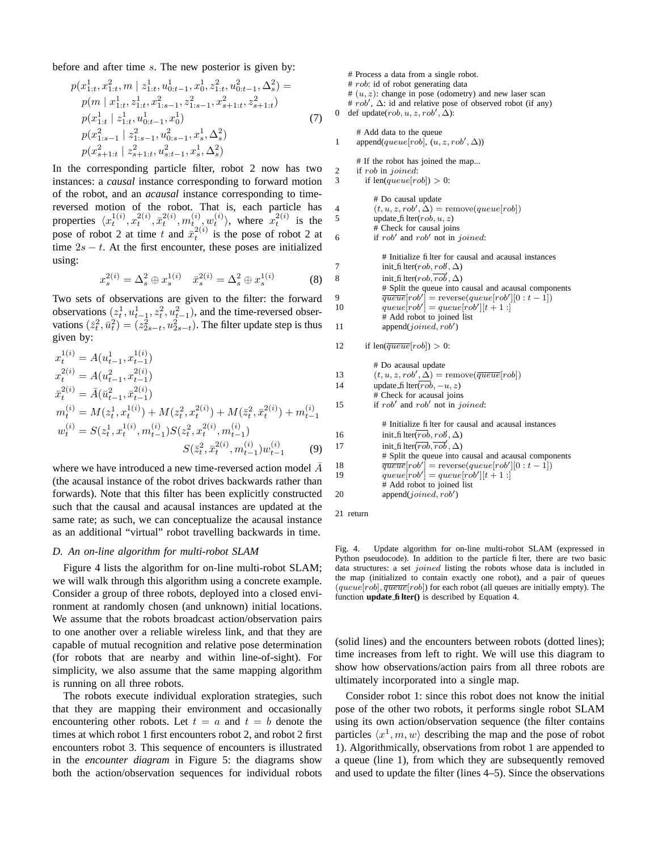before and after time s. The new posterior is given by:

$$
p(x_{1:t}^1, x_{1:t}^2, m \mid z_{1:t}^1, u_{0:t-1}^1, x_0^1, z_{1:t}^2, u_{0:t-1}^2, \Delta_s^2) =
$$
  
\n
$$
p(m \mid x_{1:t}^1, z_{1:t}^1, x_{1:s-1}^2, z_{1:s-1}^2, x_{s+1:t}^2, z_{s+1:t}^2)
$$
  
\n
$$
p(x_{1:t}^1 \mid z_{1:t}^1, u_{0:t-1}^1, x_0^1)
$$
  
\n
$$
p(x_{1:s-1}^2 \mid z_{1:s-1}^2, u_{0:s-1}^2, x_s^1, \Delta_s^2)
$$
  
\n
$$
p(x_{s+1:t}^2 \mid z_{s+1:t}^2, u_{s:t-1}^2, x_s^1, \Delta_s^2)
$$
  
\n(7)

In the corresponding particle filter, robot 2 now has two instances: a *causal* instance corresponding to forward motion of the robot, and an *acausal* instance corresponding to timereversed motion of the robot. That is, each particle has properties  $\langle x_t^{1(i)}, x_t^{2(i)}, \bar{x}_t^{2(i)}, m_t^{(i)}, w_t^{(i)} \rangle$ , where  $x_t^{2(i)}$  is the pose of robot 2 at time t and  $\bar{x}^{2(i)}_t$  is the pose of robot 2 at time  $2s - t$ . At the first encounter, these poses are initialized using:

$$
x_s^{2(i)} = \Delta_s^2 \oplus x_s^{1(i)} \quad \bar{x}_s^{2(i)} = \Delta_s^2 \oplus x_s^{1(i)} \tag{8}
$$

Two sets of observations are given to the filter: the forward observations  $(z_t^1, u_{t-1}^1, z_t^2, u_{t-1}^2)$ , and the time-reversed observations  $(\bar{z}_t^2, \bar{u}_t^2) = (z_{2s-t}^2, u_{2s-t}^2)$ . The filter update step is thus given by:

$$
x_t^{1(i)} = A(u_{t-1}^1, x_{t-1}^{1(i)})
$$
  
\n
$$
x_t^{2(i)} = A(u_{t-1}^2, x_{t-1}^{2(i)})
$$
  
\n
$$
\bar{x}_t^{2(i)} = \bar{A}(\bar{u}_{t-1}^2, \bar{x}_{t-1}^{2(i)})
$$
  
\n
$$
m_t^{(i)} = M(z_t^1, x_t^{1(i)}) + M(z_t^2, x_t^{2(i)}) + M(\bar{z}_t^2, \bar{x}_t^{2(i)}) + m_{t-1}^{(i)}
$$
  
\n
$$
w_t^{(i)} = S(z_t^1, x_t^{1(i)}, m_{t-1}^{(i)}) S(z_t^2, x_t^{2(i)}, m_{t-1}^{(i)})
$$
  
\n
$$
S(\bar{z}_t^2, \bar{x}_t^{2(i)}, m_{t-1}^{(i)}) w_{t-1}^{(i)}
$$
\n(9)

where we have introduced a new time-reversed action model  $\bar{A}$ (the acausal instance of the robot drives backwards rather than forwards). Note that this filter has been explicitly constructed such that the causal and acausal instances are updated at the same rate; as such, we can conceptualize the acausal instance as an additional "virtual" robot travelling backwards in time.

#### *D. An on-line algorithm for multi-robot SLAM*

Figure 4 lists the algorithm for on-line multi-robot SLAM; we will walk through this algorithm using a concrete example. Consider a group of three robots, deployed into a closed environment at randomly chosen (and unknown) initial locations. We assume that the robots broadcast action/observation pairs to one another over a reliable wireless link, and that they are capable of mutual recognition and relative pose determination (for robots that are nearby and within line-of-sight). For simplicity, we also assume that the same mapping algorithm is running on all three robots.

The robots execute individual exploration strategies, such that they are mapping their environment and occasionally encountering other robots. Let  $t = a$  and  $t = b$  denote the times at which robot 1 first encounters robot 2, and robot 2 first encounters robot 3. This sequence of encounters is illustrated in the *encounter diagram* in Figure 5: the diagrams show both the action/observation sequences for individual robots

# Process a data from a single robot. # rob: id of robot generating data  $# (u, z)$ : change in pose (odometry) and new laser scan #  $rob', \Delta$ : id and relative pose of observed robot (if any) 0 def update $(rob, u, z, rob', \Delta)$ : # Add data to the queue 1 append $(queue[rob], (u, z, rob', \Delta))$ # If the robot has joined the map... 2 if *rob* in *joined*: 3 if  $len(queue[rob]) > 0$ : # Do causal update 4  $(t, u, z, rob', \Delta) = \text{remove}(queue[rob])$ 5 update filter( $rob, u, z$ ) # Check for causal joins 6 if  $rob'$  and  $rob'$  not in joined:

# Initialize filter for causal and acausal instances 7 init\_filter( $rob, rob, \Delta$ ) 8 init\_filter( $rob, \overrightarrow{rob}, \Delta)$ # Split the queue into causal and acausal components 9  $\overline{queue}[rob']$  = reverse(queue[rob'][0 : t - 1]) 10  $queue[rob'] = queue[rob'][t + 1:]$ # Add robot to joined list 11 append(*joined*, *rob'*)

12 if  $len(\overline{queue}[rob]) > 0$ :

|    | # Do acausal update                                          |
|----|--------------------------------------------------------------|
| 13 | $(t, u, z, rob', \Delta)$ = remove $(\overline{queue}[rob])$ |
| 14 | update fi lter( $rob, -u, z$ )                               |
|    | # Check for acausal joins                                    |
| 15 | if $rob'$ and $rob'$ not in joined:                          |
|    | # Initialize filter for causal and acausal instances         |
| 16 | init_fi lter( $rob, rob, \Delta$ )                           |
| 17 | init_fi lter( $\overline{rob}, \overline{rob}', \Delta$ )    |
|    | # Split the queue into causal and acausal components         |
| 18 | $\overline{queue}[rob']$ = reverse(queue[rob'][0 : t - 1])   |
| 19 | queue[rob'] = queue[rob'][t + 1 :]                           |
|    | # Add robot to joined list                                   |
| 20 | append(joined, rob')                                         |
|    |                                                              |

21 return

Fig. 4. Update algorithm for on-line multi-robot SLAM (expressed in Python pseudocode). In addition to the particle filter, there are two basic data structures: a set *joined* listing the robots whose data is included in the map (initialized to contain exactly one robot), and a pair of queues  $(\text{queue} [rob], \overline{\text{queue}} [rob])$  for each robot (all queues are initially empty). The function **update filter()** is described by Equation 4.

(solid lines) and the encounters between robots (dotted lines); time increases from left to right. We will use this diagram to show how observations/action pairs from all three robots are ultimately incorporated into a single map.

Consider robot 1: since this robot does not know the initial pose of the other two robots, it performs single robot SLAM using its own action/observation sequence (the filter contains particles  $\langle x^1, m, w \rangle$  describing the map and the pose of robot 1). Algorithmically, observations from robot 1 are appended to a queue (line 1), from which they are subsequently removed and used to update the filter (lines 4–5). Since the observations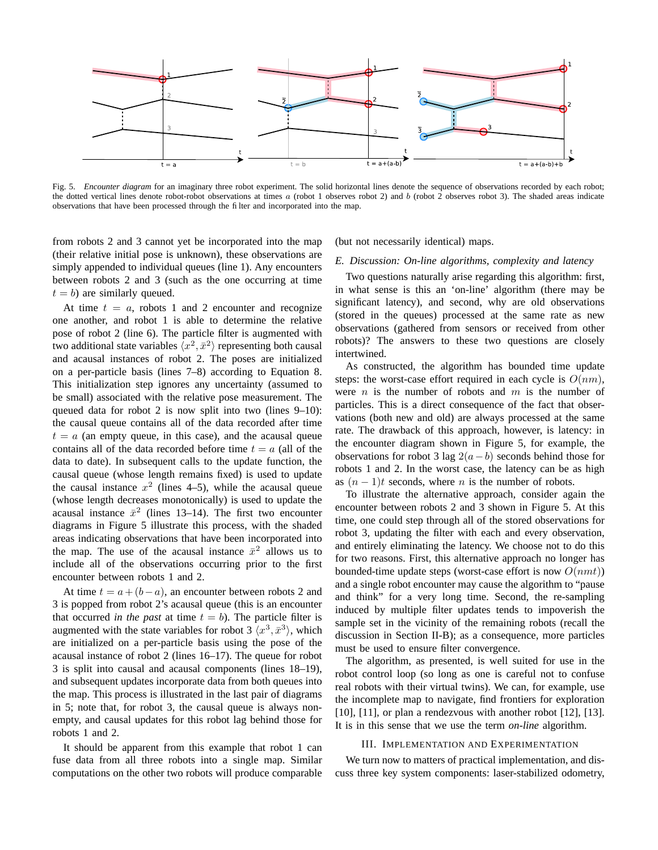

Fig. 5. *Encounter diagram* for an imaginary three robot experiment. The solid horizontal lines denote the sequence of observations recorded by each robot; the dotted vertical lines denote robot-robot observations at times  $a$  (robot 1 observes robot 2) and  $b$  (robot 2 observes robot 3). The shaded areas indicate observations that have been processed through the filter and incorporated into the map.

from robots 2 and 3 cannot yet be incorporated into the map (their relative initial pose is unknown), these observations are simply appended to individual queues (line 1). Any encounters between robots 2 and 3 (such as the one occurring at time  $t = b$ ) are similarly queued.

At time  $t = a$ , robots 1 and 2 encounter and recognize one another, and robot 1 is able to determine the relative pose of robot 2 (line 6). The particle filter is augmented with two additional state variables  $\langle x^2, \bar{x}^2 \rangle$  representing both causal and acausal instances of robot 2. The poses are initialized on a per-particle basis (lines 7–8) according to Equation 8. This initialization step ignores any uncertainty (assumed to be small) associated with the relative pose measurement. The queued data for robot 2 is now split into two (lines 9–10): the causal queue contains all of the data recorded after time  $t = a$  (an empty queue, in this case), and the acausal queue contains all of the data recorded before time  $t = a$  (all of the data to date). In subsequent calls to the update function, the causal queue (whose length remains fixed) is used to update the causal instance  $x^2$  (lines 4–5), while the acausal queue (whose length decreases monotonically) is used to update the acausal instance  $\bar{x}^2$  (lines 13–14). The first two encounter diagrams in Figure 5 illustrate this process, with the shaded areas indicating observations that have been incorporated into the map. The use of the acausal instance  $\bar{x}^2$  allows us to include all of the observations occurring prior to the first encounter between robots 1 and 2.

At time  $t = a + (b - a)$ , an encounter between robots 2 and 3 is popped from robot 2's acausal queue (this is an encounter that occurred *in the past* at time  $t = b$ ). The particle filter is augmented with the state variables for robot 3  $\langle x^3, \bar{x}^3 \rangle$ , which are initialized on a per-particle basis using the pose of the acausal instance of robot 2 (lines 16–17). The queue for robot 3 is split into causal and acausal components (lines 18–19), and subsequent updates incorporate data from both queues into the map. This process is illustrated in the last pair of diagrams in 5; note that, for robot 3, the causal queue is always nonempty, and causal updates for this robot lag behind those for robots 1 and 2.

It should be apparent from this example that robot 1 can fuse data from all three robots into a single map. Similar computations on the other two robots will produce comparable (but not necessarily identical) maps.

## *E. Discussion: On-line algorithms, complexity and latency*

Two questions naturally arise regarding this algorithm: first, in what sense is this an 'on-line' algorithm (there may be significant latency), and second, why are old observations (stored in the queues) processed at the same rate as new observations (gathered from sensors or received from other robots)? The answers to these two questions are closely intertwined.

As constructed, the algorithm has bounded time update steps: the worst-case effort required in each cycle is  $O(nm)$ , were *n* is the number of robots and *m* is the number of particles. This is a direct consequence of the fact that observations (both new and old) are always processed at the same rate. The drawback of this approach, however, is latency: in the encounter diagram shown in Figure 5, for example, the observations for robot 3 lag  $2(a-b)$  seconds behind those for robots 1 and 2. In the worst case, the latency can be as high as  $(n-1)t$  seconds, where *n* is the number of robots.

To illustrate the alternative approach, consider again the encounter between robots 2 and 3 shown in Figure 5. At this time, one could step through all of the stored observations for robot 3, updating the filter with each and every observation, and entirely eliminating the latency. We choose not to do this for two reasons. First, this alternative approach no longer has bounded-time update steps (worst-case effort is now  $O(nmt)$ ) and a single robot encounter may cause the algorithm to "pause and think" for a very long time. Second, the re-sampling induced by multiple filter updates tends to impoverish the sample set in the vicinity of the remaining robots (recall the discussion in Section II-B); as a consequence, more particles must be used to ensure filter convergence.

The algorithm, as presented, is well suited for use in the robot control loop (so long as one is careful not to confuse real robots with their virtual twins). We can, for example, use the incomplete map to navigate, find frontiers for exploration [10], [11], or plan a rendezvous with another robot [12], [13]. It is in this sense that we use the term *on-line* algorithm.

#### III. IMPLEMENTATION AND EXPERIMENTATION

We turn now to matters of practical implementation, and discuss three key system components: laser-stabilized odometry,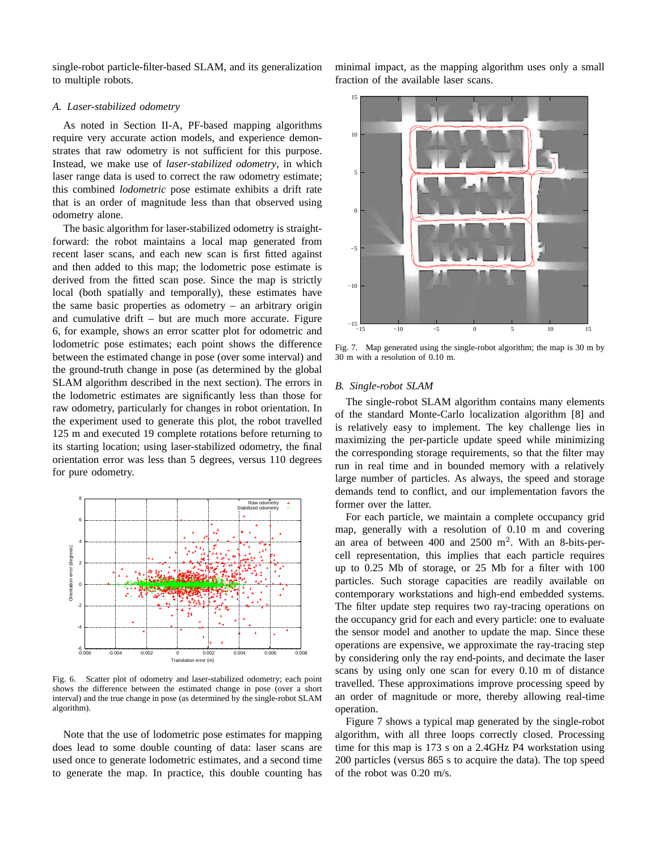single-robot particle-filter-based SLAM, and its generalization to multiple robots.

#### *A. Laser-stabilized odometry*

As noted in Section II-A, PF-based mapping algorithms require very accurate action models, and experience demonstrates that raw odometry is not sufficient for this purpose. Instead, we make use of *laser-stabilized odometry*, in which laser range data is used to correct the raw odometry estimate; this combined *lodometric* pose estimate exhibits a drift rate that is an order of magnitude less than that observed using odometry alone.

The basic algorithm for laser-stabilized odometry is straightforward: the robot maintains a local map generated from recent laser scans, and each new scan is first fitted against and then added to this map; the lodometric pose estimate is derived from the fitted scan pose. Since the map is strictly local (both spatially and temporally), these estimates have the same basic properties as odometry – an arbitrary origin and cumulative drift – but are much more accurate. Figure 6, for example, shows an error scatter plot for odometric and lodometric pose estimates; each point shows the difference between the estimated change in pose (over some interval) and the ground-truth change in pose (as determined by the global SLAM algorithm described in the next section). The errors in the lodometric estimates are significantly less than those for raw odometry, particularly for changes in robot orientation. In the experiment used to generate this plot, the robot travelled 125 m and executed 19 complete rotations before returning to its starting location; using laser-stabilized odometry, the final orientation error was less than 5 degrees, versus 110 degrees for pure odometry.



Fig. 6. Scatter plot of odometry and laser-stabilized odometry; each point shows the difference between the estimated change in pose (over a short interval) and the true change in pose (as determined by the single-robot SLAM algorithm).

Note that the use of lodometric pose estimates for mapping does lead to some double counting of data: laser scans are used once to generate lodometric estimates, and a second time to generate the map. In practice, this double counting has minimal impact, as the mapping algorithm uses only a small fraction of the available laser scans.



Fig. 7. Map generated using the single-robot algorithm; the map is 30 m by 30 m with a resolution of 0.10 m.

# *B. Single-robot SLAM*

The single-robot SLAM algorithm contains many elements of the standard Monte-Carlo localization algorithm [8] and is relatively easy to implement. The key challenge lies in maximizing the per-particle update speed while minimizing the corresponding storage requirements, so that the filter may run in real time and in bounded memory with a relatively large number of particles. As always, the speed and storage demands tend to conflict, and our implementation favors the former over the latter.

For each particle, we maintain a complete occupancy grid map, generally with a resolution of 0.10 m and covering an area of between  $400$  and  $2500$  m<sup>2</sup>. With an 8-bits-percell representation, this implies that each particle requires up to 0.25 Mb of storage, or 25 Mb for a filter with 100 particles. Such storage capacities are readily available on contemporary workstations and high-end embedded systems. The filter update step requires two ray-tracing operations on the occupancy grid for each and every particle: one to evaluate the sensor model and another to update the map. Since these operations are expensive, we approximate the ray-tracing step by considering only the ray end-points, and decimate the laser scans by using only one scan for every 0.10 m of distance travelled. These approximations improve processing speed by an order of magnitude or more, thereby allowing real-time operation.

Figure 7 shows a typical map generated by the single-robot algorithm, with all three loops correctly closed. Processing time for this map is 173 s on a 2.4GHz P4 workstation using 200 particles (versus 865 s to acquire the data). The top speed of the robot was 0.20 m/s.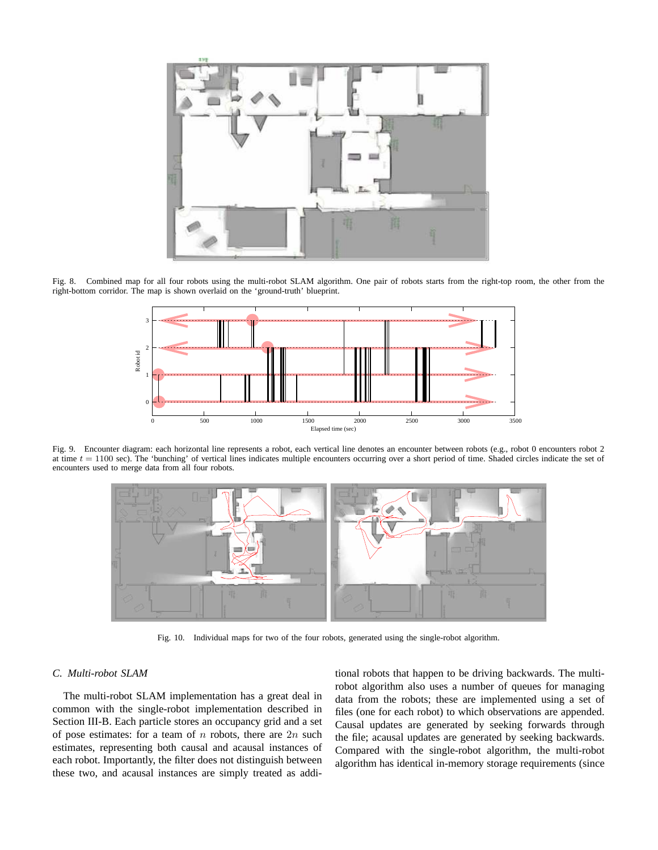

Fig. 8. Combined map for all four robots using the multi-robot SLAM algorithm. One pair of robots starts from the right-top room, the other from the right-bottom corridor. The map is shown overlaid on the 'ground-truth' blueprint.



Fig. 9. Encounter diagram: each horizontal line represents a robot, each vertical line denotes an encounter between robots (e.g., robot 0 encounters robot 2 at time  $t = 1100$  sec). The 'bunching' of vertical lines indicates multiple encounters occurring over a short period of time. Shaded circles indicate the set of encounters used to merge data from all four robots.



Fig. 10. Individual maps for two of the four robots, generated using the single-robot algorithm.

## *C. Multi-robot SLAM*

The multi-robot SLAM implementation has a great deal in common with the single-robot implementation described in Section III-B. Each particle stores an occupancy grid and a set of pose estimates: for a team of  $n$  robots, there are  $2n$  such estimates, representing both causal and acausal instances of each robot. Importantly, the filter does not distinguish between these two, and acausal instances are simply treated as additional robots that happen to be driving backwards. The multirobot algorithm also uses a number of queues for managing data from the robots; these are implemented using a set of files (one for each robot) to which observations are appended. Causal updates are generated by seeking forwards through the file; acausal updates are generated by seeking backwards. Compared with the single-robot algorithm, the multi-robot algorithm has identical in-memory storage requirements (since